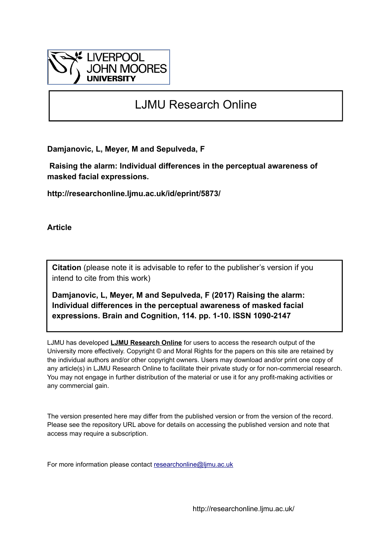

# LJMU Research Online

**Damjanovic, L, Meyer, M and Sepulveda, F**

 **Raising the alarm: Individual differences in the perceptual awareness of masked facial expressions.**

**http://researchonline.ljmu.ac.uk/id/eprint/5873/**

**Article**

**Citation** (please note it is advisable to refer to the publisher's version if you intend to cite from this work)

**Damjanovic, L, Meyer, M and Sepulveda, F (2017) Raising the alarm: Individual differences in the perceptual awareness of masked facial expressions. Brain and Cognition, 114. pp. 1-10. ISSN 1090-2147** 

LJMU has developed **[LJMU Research Online](http://researchonline.ljmu.ac.uk/)** for users to access the research output of the University more effectively. Copyright © and Moral Rights for the papers on this site are retained by the individual authors and/or other copyright owners. Users may download and/or print one copy of any article(s) in LJMU Research Online to facilitate their private study or for non-commercial research. You may not engage in further distribution of the material or use it for any profit-making activities or any commercial gain.

The version presented here may differ from the published version or from the version of the record. Please see the repository URL above for details on accessing the published version and note that access may require a subscription.

For more information please contact [researchonline@ljmu.ac.uk](mailto:researchonline@ljmu.ac.uk)

http://researchonline.ljmu.ac.uk/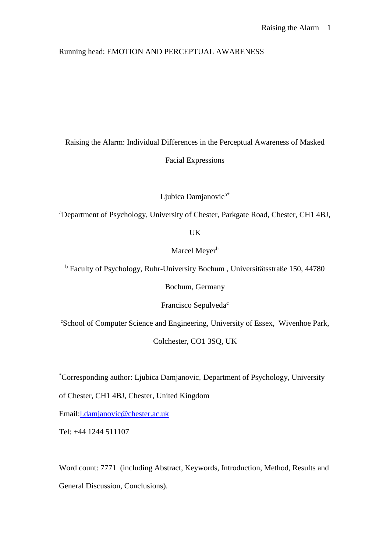# Running head: EMOTION AND PERCEPTUAL AWARENESS

Raising the Alarm: Individual Differences in the Perceptual Awareness of Masked Facial Expressions

Ljubica Damjanovic<sup>a\*</sup>

<sup>a</sup>Department of Psychology, University of Chester, Parkgate Road, Chester, CH1 4BJ,

UK

Marcel Meyer<sup>b</sup>

<sup>b</sup> Faculty of Psychology, Ruhr-University Bochum , Universitätsstraße 150, 44780

Bochum, Germany

Francisco Sepulveda<sup>c</sup>

<sup>c</sup>School of Computer Science and Engineering, University of Essex, Wivenhoe Park,

Colchester, CO1 3SQ, UK

\*Corresponding author: Ljubica Damjanovic, Department of Psychology, University

of Chester, CH1 4BJ, Chester, United Kingdom

Email[:l.damjanovic@chester.ac.uk](mailto:l.damjanovic@chester.ac.uk)

Tel: +44 1244 511107

Word count: 7771 (including Abstract, Keywords, Introduction, Method, Results and General Discussion, Conclusions).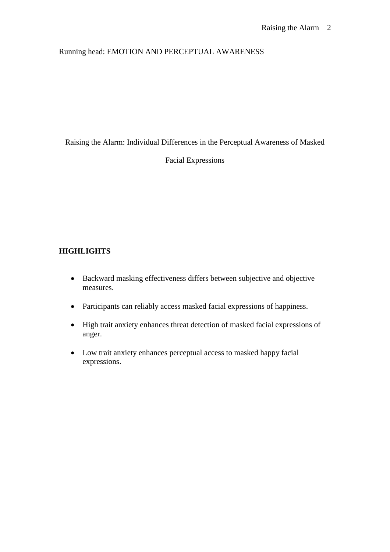# Running head: EMOTION AND PERCEPTUAL AWARENESS

Raising the Alarm: Individual Differences in the Perceptual Awareness of Masked

Facial Expressions

# **HIGHLIGHTS**

- Backward masking effectiveness differs between subjective and objective measures.
- Participants can reliably access masked facial expressions of happiness.
- High trait anxiety enhances threat detection of masked facial expressions of anger.
- Low trait anxiety enhances perceptual access to masked happy facial expressions.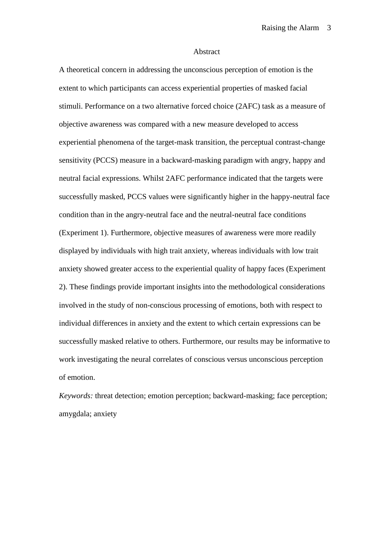#### Abstract

A theoretical concern in addressing the unconscious perception of emotion is the extent to which participants can access experiential properties of masked facial stimuli. Performance on a two alternative forced choice (2AFC) task as a measure of objective awareness was compared with a new measure developed to access experiential phenomena of the target-mask transition, the perceptual contrast-change sensitivity (PCCS) measure in a backward-masking paradigm with angry, happy and neutral facial expressions. Whilst 2AFC performance indicated that the targets were successfully masked, PCCS values were significantly higher in the happy-neutral face condition than in the angry-neutral face and the neutral-neutral face conditions (Experiment 1). Furthermore, objective measures of awareness were more readily displayed by individuals with high trait anxiety, whereas individuals with low trait anxiety showed greater access to the experiential quality of happy faces (Experiment 2). These findings provide important insights into the methodological considerations involved in the study of non-conscious processing of emotions, both with respect to individual differences in anxiety and the extent to which certain expressions can be successfully masked relative to others. Furthermore, our results may be informative to work investigating the neural correlates of conscious versus unconscious perception of emotion.

*Keywords:* threat detection; emotion perception; backward-masking; face perception; amygdala; anxiety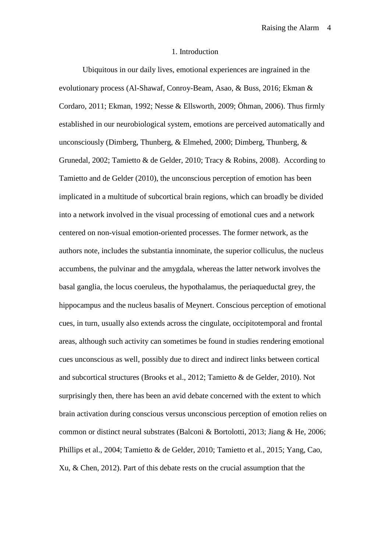#### 1. Introduction

Ubiquitous in our daily lives, emotional experiences are ingrained in the evolutionary process (Al-Shawaf, Conroy-Beam, Asao, & Buss, 2016; Ekman & Cordaro, 2011; Ekman, 1992; Nesse & Ellsworth, 2009; Öhman, 2006). Thus firmly established in our neurobiological system, emotions are perceived automatically and unconsciously (Dimberg, Thunberg, & Elmehed, 2000; Dimberg, Thunberg, & Grunedal, 2002; Tamietto & de Gelder, 2010; Tracy & Robins, 2008). According to Tamietto and de Gelder (2010), the unconscious perception of emotion has been implicated in a multitude of subcortical brain regions, which can broadly be divided into a network involved in the visual processing of emotional cues and a network centered on non-visual emotion-oriented processes. The former network, as the authors note, includes the substantia innominate, the superior colliculus, the nucleus accumbens, the pulvinar and the amygdala, whereas the latter network involves the basal ganglia, the locus coeruleus, the hypothalamus, the periaqueductal grey, the hippocampus and the nucleus basalis of Meynert. Conscious perception of emotional cues, in turn, usually also extends across the cingulate, occipitotemporal and frontal areas, although such activity can sometimes be found in studies rendering emotional cues unconscious as well, possibly due to direct and indirect links between cortical and subcortical structures (Brooks et al., 2012; Tamietto & de Gelder, 2010). Not surprisingly then, there has been an avid debate concerned with the extent to which brain activation during conscious versus unconscious perception of emotion relies on common or distinct neural substrates (Balconi & Bortolotti, 2013; Jiang & He, 2006; Phillips et al., 2004; Tamietto & de Gelder, 2010; Tamietto et al., 2015; Yang, Cao, Xu, & Chen, 2012). Part of this debate rests on the crucial assumption that the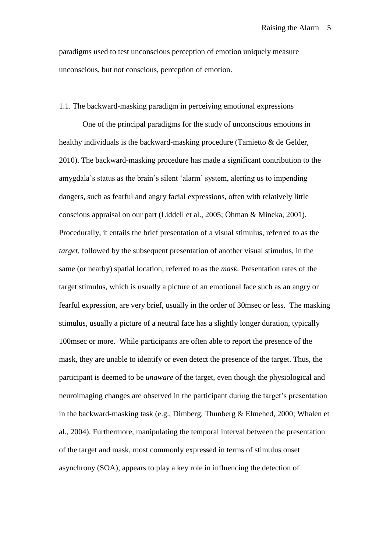paradigms used to test unconscious perception of emotion uniquely measure unconscious, but not conscious, perception of emotion.

#### 1.1. The backward-masking paradigm in perceiving emotional expressions

One of the principal paradigms for the study of unconscious emotions in healthy individuals is the backward-masking procedure (Tamietto & de Gelder, 2010). The backward-masking procedure has made a significant contribution to the amygdala's status as the brain's silent 'alarm' system, alerting us to impending dangers, such as fearful and angry facial expressions, often with relatively little conscious appraisal on our part (Liddell et al., 2005; Öhman & Mineka, 2001). Procedurally, it entails the brief presentation of a visual stimulus, referred to as the *target*, followed by the subsequent presentation of another visual stimulus, in the same (or nearby) spatial location, referred to as the *mask.* Presentation rates of the target stimulus, which is usually a picture of an emotional face such as an angry or fearful expression, are very brief, usually in the order of 30msec or less. The masking stimulus, usually a picture of a neutral face has a slightly longer duration, typically 100msec or more. While participants are often able to report the presence of the mask, they are unable to identify or even detect the presence of the target. Thus, the participant is deemed to be *unaware* of the target, even though the physiological and neuroimaging changes are observed in the participant during the target's presentation in the backward-masking task (e.g., Dimberg, Thunberg & Elmehed, 2000; Whalen et al., 2004). Furthermore, manipulating the temporal interval between the presentation of the target and mask, most commonly expressed in terms of stimulus onset asynchrony (SOA), appears to play a key role in influencing the detection of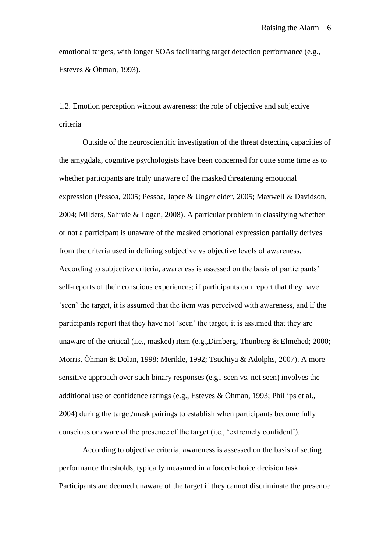emotional targets, with longer SOAs facilitating target detection performance (e.g., Esteves & Öhman, 1993).

1.2. Emotion perception without awareness: the role of objective and subjective criteria

Outside of the neuroscientific investigation of the threat detecting capacities of the amygdala, cognitive psychologists have been concerned for quite some time as to whether participants are truly unaware of the masked threatening emotional expression (Pessoa, 2005; Pessoa, Japee & Ungerleider, 2005; Maxwell & Davidson, 2004; Milders, Sahraie & Logan, 2008). A particular problem in classifying whether or not a participant is unaware of the masked emotional expression partially derives from the criteria used in defining subjective vs objective levels of awareness. According to subjective criteria, awareness is assessed on the basis of participants' self-reports of their conscious experiences; if participants can report that they have 'seen' the target, it is assumed that the item was perceived with awareness, and if the participants report that they have not 'seen' the target, it is assumed that they are unaware of the critical (i.e., masked) item (e.g.,Dimberg, Thunberg & Elmehed; 2000; Morris, Öhman & Dolan, 1998; Merikle, 1992; Tsuchiya & Adolphs, 2007). A more sensitive approach over such binary responses (e.g., seen vs. not seen) involves the additional use of confidence ratings (e.g., Esteves & Öhman, 1993; Phillips et al., 2004) during the target/mask pairings to establish when participants become fully conscious or aware of the presence of the target (i.e., 'extremely confident').

According to objective criteria, awareness is assessed on the basis of setting performance thresholds, typically measured in a forced-choice decision task. Participants are deemed unaware of the target if they cannot discriminate the presence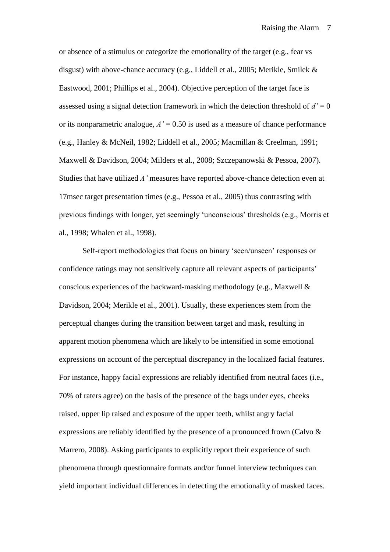or absence of a stimulus or categorize the emotionality of the target (e.g., fear vs disgust) with above-chance accuracy (e.g., Liddell et al., 2005; Merikle, Smilek & Eastwood, 2001; Phillips et al., 2004). Objective perception of the target face is assessed using a signal detection framework in which the detection threshold of *d'* = 0 or its nonparametric analogue,  $A' = 0.50$  is used as a measure of chance performance (e.g., Hanley & McNeil, 1982; Liddell et al., 2005; Macmillan & Creelman, 1991; Maxwell & Davidson, 2004; Milders et al., 2008; Szczepanowski & Pessoa, 2007). Studies that have utilized *A'* measures have reported above-chance detection even at 17msec target presentation times (e.g., Pessoa et al., 2005) thus contrasting with previous findings with longer, yet seemingly 'unconscious' thresholds (e.g., Morris et al., 1998; Whalen et al., 1998).

Self-report methodologies that focus on binary 'seen/unseen' responses or confidence ratings may not sensitively capture all relevant aspects of participants' conscious experiences of the backward-masking methodology (e.g., Maxwell & Davidson, 2004; Merikle et al., 2001). Usually, these experiences stem from the perceptual changes during the transition between target and mask, resulting in apparent motion phenomena which are likely to be intensified in some emotional expressions on account of the perceptual discrepancy in the localized facial features. For instance, happy facial expressions are reliably identified from neutral faces (i.e., 70% of raters agree) on the basis of the presence of the bags under eyes, cheeks raised, upper lip raised and exposure of the upper teeth, whilst angry facial expressions are reliably identified by the presence of a pronounced frown (Calvo & Marrero, 2008). Asking participants to explicitly report their experience of such phenomena through questionnaire formats and/or funnel interview techniques can yield important individual differences in detecting the emotionality of masked faces.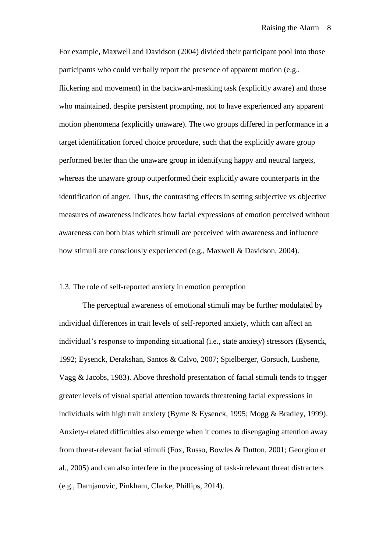For example, Maxwell and Davidson (2004) divided their participant pool into those participants who could verbally report the presence of apparent motion (e.g., flickering and movement) in the backward-masking task (explicitly aware) and those who maintained, despite persistent prompting, not to have experienced any apparent motion phenomena (explicitly unaware). The two groups differed in performance in a target identification forced choice procedure, such that the explicitly aware group performed better than the unaware group in identifying happy and neutral targets, whereas the unaware group outperformed their explicitly aware counterparts in the identification of anger. Thus, the contrasting effects in setting subjective vs objective measures of awareness indicates how facial expressions of emotion perceived without awareness can both bias which stimuli are perceived with awareness and influence how stimuli are consciously experienced (e.g., Maxwell & Davidson, 2004).

#### 1.3. The role of self-reported anxiety in emotion perception

The perceptual awareness of emotional stimuli may be further modulated by individual differences in trait levels of self-reported anxiety, which can affect an individual's response to impending situational (i.e., state anxiety) stressors (Eysenck, 1992; Eysenck, Derakshan, Santos & Calvo, 2007; Spielberger, Gorsuch, Lushene, Vagg & Jacobs, 1983). Above threshold presentation of facial stimuli tends to trigger greater levels of visual spatial attention towards threatening facial expressions in individuals with high trait anxiety (Byrne & Eysenck, 1995; Mogg & Bradley, 1999). Anxiety-related difficulties also emerge when it comes to disengaging attention away from threat-relevant facial stimuli (Fox, Russo, Bowles & Dutton, 2001; Georgiou et al., 2005) and can also interfere in the processing of task-irrelevant threat distracters (e.g., Damjanovic, Pinkham, Clarke, Phillips, 2014).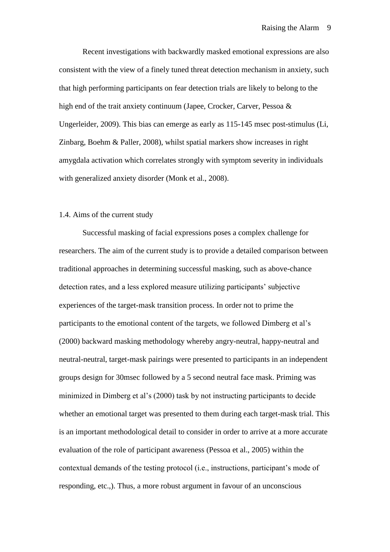Recent investigations with backwardly masked emotional expressions are also consistent with the view of a finely tuned threat detection mechanism in anxiety, such that high performing participants on fear detection trials are likely to belong to the high end of the trait anxiety continuum (Japee, Crocker, Carver, Pessoa & Ungerleider, 2009). This bias can emerge as early as 115-145 msec post-stimulus (Li, Zinbarg, Boehm & Paller, 2008), whilst spatial markers show increases in right amygdala activation which correlates strongly with symptom severity in individuals with generalized anxiety disorder (Monk et al., 2008).

#### 1.4. Aims of the current study

Successful masking of facial expressions poses a complex challenge for researchers. The aim of the current study is to provide a detailed comparison between traditional approaches in determining successful masking, such as above-chance detection rates, and a less explored measure utilizing participants' subjective experiences of the target-mask transition process. In order not to prime the participants to the emotional content of the targets, we followed Dimberg et al's (2000) backward masking methodology whereby angry-neutral, happy-neutral and neutral-neutral, target-mask pairings were presented to participants in an independent groups design for 30msec followed by a 5 second neutral face mask. Priming was minimized in Dimberg et al's (2000) task by not instructing participants to decide whether an emotional target was presented to them during each target-mask trial. This is an important methodological detail to consider in order to arrive at a more accurate evaluation of the role of participant awareness (Pessoa et al., 2005) within the contextual demands of the testing protocol (i.e., instructions, participant's mode of responding, etc.,). Thus, a more robust argument in favour of an unconscious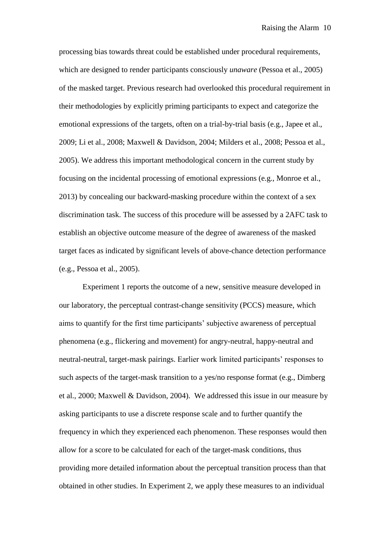processing bias towards threat could be established under procedural requirements, which are designed to render participants consciously *unaware* (Pessoa et al., 2005) of the masked target. Previous research had overlooked this procedural requirement in their methodologies by explicitly priming participants to expect and categorize the emotional expressions of the targets, often on a trial-by-trial basis (e.g., Japee et al., 2009; Li et al., 2008; Maxwell & Davidson, 2004; Milders et al., 2008; Pessoa et al., 2005). We address this important methodological concern in the current study by focusing on the incidental processing of emotional expressions (e.g., Monroe et al., 2013) by concealing our backward-masking procedure within the context of a sex discrimination task. The success of this procedure will be assessed by a 2AFC task to establish an objective outcome measure of the degree of awareness of the masked target faces as indicated by significant levels of above-chance detection performance (e.g., Pessoa et al., 2005).

Experiment 1 reports the outcome of a new, sensitive measure developed in our laboratory, the perceptual contrast-change sensitivity (PCCS) measure, which aims to quantify for the first time participants' subjective awareness of perceptual phenomena (e.g., flickering and movement) for angry-neutral, happy-neutral and neutral-neutral, target-mask pairings. Earlier work limited participants' responses to such aspects of the target-mask transition to a yes/no response format (e.g., Dimberg et al., 2000; Maxwell & Davidson, 2004). We addressed this issue in our measure by asking participants to use a discrete response scale and to further quantify the frequency in which they experienced each phenomenon. These responses would then allow for a score to be calculated for each of the target-mask conditions, thus providing more detailed information about the perceptual transition process than that obtained in other studies. In Experiment 2, we apply these measures to an individual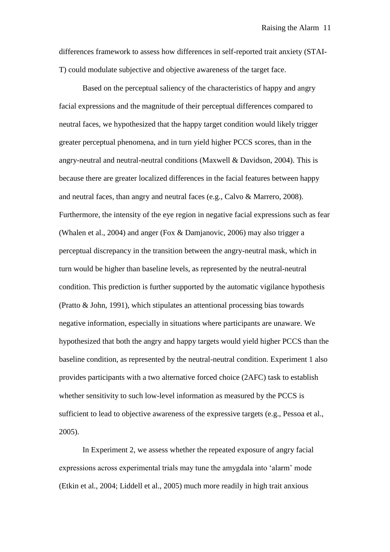differences framework to assess how differences in self-reported trait anxiety (STAI-T) could modulate subjective and objective awareness of the target face.

Based on the perceptual saliency of the characteristics of happy and angry facial expressions and the magnitude of their perceptual differences compared to neutral faces, we hypothesized that the happy target condition would likely trigger greater perceptual phenomena, and in turn yield higher PCCS scores, than in the angry-neutral and neutral-neutral conditions (Maxwell & Davidson, 2004). This is because there are greater localized differences in the facial features between happy and neutral faces, than angry and neutral faces (e.g., Calvo & Marrero, 2008). Furthermore, the intensity of the eye region in negative facial expressions such as fear (Whalen et al., 2004) and anger (Fox & Damjanovic, 2006) may also trigger a perceptual discrepancy in the transition between the angry-neutral mask, which in turn would be higher than baseline levels, as represented by the neutral-neutral condition. This prediction is further supported by the automatic vigilance hypothesis (Pratto & John, 1991), which stipulates an attentional processing bias towards negative information, especially in situations where participants are unaware. We hypothesized that both the angry and happy targets would yield higher PCCS than the baseline condition, as represented by the neutral-neutral condition. Experiment 1 also provides participants with a two alternative forced choice (2AFC) task to establish whether sensitivity to such low-level information as measured by the PCCS is sufficient to lead to objective awareness of the expressive targets (e.g., Pessoa et al., 2005).

In Experiment 2, we assess whether the repeated exposure of angry facial expressions across experimental trials may tune the amygdala into 'alarm' mode (Etkin et al., 2004; Liddell et al., 2005) much more readily in high trait anxious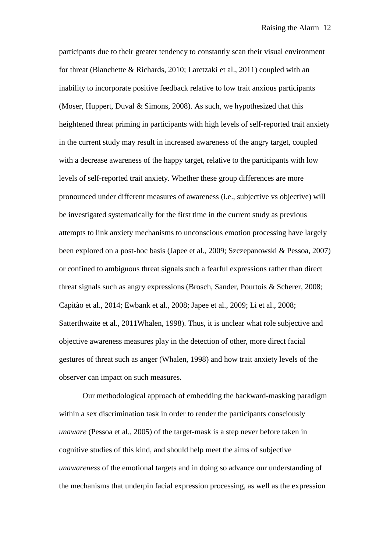participants due to their greater tendency to constantly scan their visual environment for threat (Blanchette & Richards, 2010; Laretzaki et al., 2011) coupled with an inability to incorporate positive feedback relative to low trait anxious participants (Moser, Huppert, Duval & Simons, 2008). As such, we hypothesized that this heightened threat priming in participants with high levels of self-reported trait anxiety in the current study may result in increased awareness of the angry target, coupled with a decrease awareness of the happy target, relative to the participants with low levels of self-reported trait anxiety. Whether these group differences are more pronounced under different measures of awareness (i.e., subjective vs objective) will be investigated systematically for the first time in the current study as previous attempts to link anxiety mechanisms to unconscious emotion processing have largely been explored on a post-hoc basis (Japee et al., 2009; Szczepanowski & Pessoa, 2007) or confined to ambiguous threat signals such a fearful expressions rather than direct threat signals such as angry expressions (Brosch, Sander, Pourtois & Scherer, 2008; Capitão et al., 2014; Ewbank et al., 2008; Japee et al., 2009; Li et al., 2008; Satterthwaite et al., 2011Whalen, 1998). Thus, it is unclear what role subjective and objective awareness measures play in the detection of other, more direct facial gestures of threat such as anger (Whalen, 1998) and how trait anxiety levels of the observer can impact on such measures.

Our methodological approach of embedding the backward-masking paradigm within a sex discrimination task in order to render the participants consciously *unaware* (Pessoa et al., 2005) of the target-mask is a step never before taken in cognitive studies of this kind, and should help meet the aims of subjective *unawareness* of the emotional targets and in doing so advance our understanding of the mechanisms that underpin facial expression processing, as well as the expression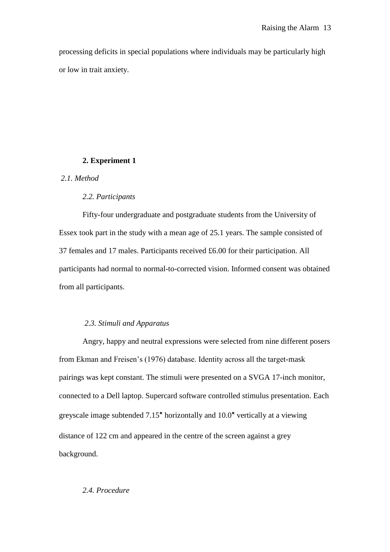processing deficits in special populations where individuals may be particularly high or low in trait anxiety.

### **2. Experiment 1**

## *2.1. Method*

## *2.2. Participants*

Fifty-four undergraduate and postgraduate students from the University of Essex took part in the study with a mean age of 25.1 years. The sample consisted of 37 females and 17 males. Participants received £6.00 for their participation. All participants had normal to normal-to-corrected vision. Informed consent was obtained from all participants.

## *2.3. Stimuli and Apparatus*

Angry, happy and neutral expressions were selected from nine different posers from Ekman and Freisen's (1976) database. Identity across all the target-mask pairings was kept constant. The stimuli were presented on a SVGA 17-inch monitor, connected to a Dell laptop. Supercard software controlled stimulus presentation. Each greyscale image subtended 7.15° horizontally and 10.0° vertically at a viewing distance of 122 cm and appeared in the centre of the screen against a grey background.

## *2.4. Procedure*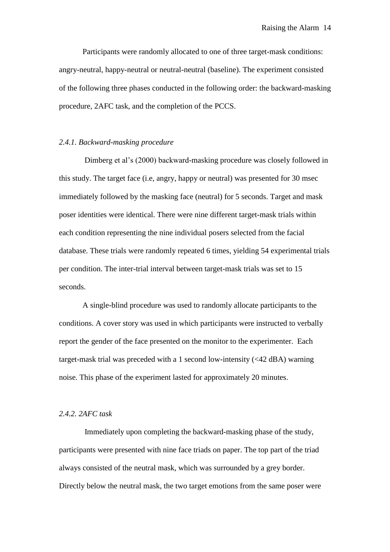Participants were randomly allocated to one of three target-mask conditions: angry-neutral, happy-neutral or neutral-neutral (baseline). The experiment consisted of the following three phases conducted in the following order: the backward-masking procedure, 2AFC task, and the completion of the PCCS.

#### *2.4.1. Backward-masking procedure*

Dimberg et al's (2000) backward-masking procedure was closely followed in this study. The target face (i.e, angry, happy or neutral) was presented for 30 msec immediately followed by the masking face (neutral) for 5 seconds. Target and mask poser identities were identical. There were nine different target-mask trials within each condition representing the nine individual posers selected from the facial database. These trials were randomly repeated 6 times, yielding 54 experimental trials per condition. The inter-trial interval between target-mask trials was set to 15 seconds.

A single-blind procedure was used to randomly allocate participants to the conditions. A cover story was used in which participants were instructed to verbally report the gender of the face presented on the monitor to the experimenter. Each target-mask trial was preceded with a 1 second low-intensity (<42 dBA) warning noise. This phase of the experiment lasted for approximately 20 minutes.

### *2.4.2. 2AFC task*

Immediately upon completing the backward-masking phase of the study, participants were presented with nine face triads on paper. The top part of the triad always consisted of the neutral mask, which was surrounded by a grey border. Directly below the neutral mask, the two target emotions from the same poser were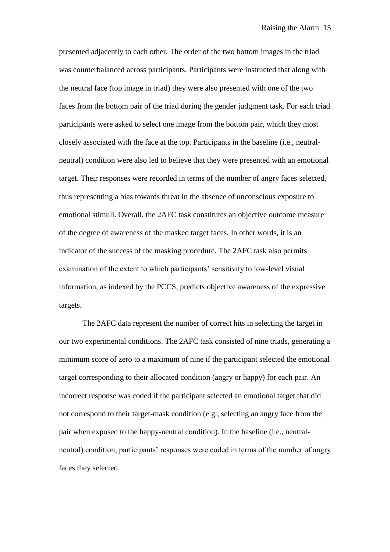presented adjacently to each other. The order of the two bottom images in the triad was counterbalanced across participants. Participants were instructed that along with the neutral face (top image in triad) they were also presented with one of the two faces from the bottom pair of the triad during the gender judgment task. For each triad participants were asked to select one image from the bottom pair, which they most closely associated with the face at the top. Participants in the baseline (i.e., neutralneutral) condition were also led to believe that they were presented with an emotional target. Their responses were recorded in terms of the number of angry faces selected, thus representing a bias towards threat in the absence of unconscious exposure to emotional stimuli. Overall, the 2AFC task constitutes an objective outcome measure of the degree of awareness of the masked target faces. In other words, it is an indicator of the success of the masking procedure. The 2AFC task also permits examination of the extent to which participants' sensitivity to low-level visual information, as indexed by the PCCS, predicts objective awareness of the expressive targets.

The 2AFC data represent the number of correct hits in selecting the target in our two experimental conditions. The 2AFC task consisted of nine triads, generating a minimum score of zero to a maximum of nine if the participant selected the emotional target corresponding to their allocated condition (angry or happy) for each pair. An incorrect response was coded if the participant selected an emotional target that did not correspond to their target-mask condition (e.g., selecting an angry face from the pair when exposed to the happy-neutral condition). In the baseline (i.e., neutralneutral) condition, participants' responses were coded in terms of the number of angry faces they selected.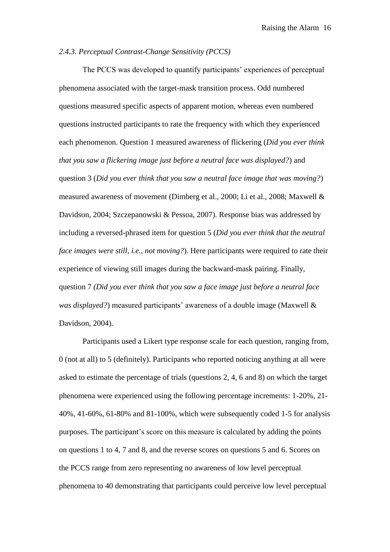#### *2.4.3. Perceptual Contrast-Change Sensitivity (PCCS)*

The PCCS was developed to quantify participants' experiences of perceptual phenomena associated with the target-mask transition process. Odd numbered questions measured specific aspects of apparent motion, whereas even numbered questions instructed participants to rate the frequency with which they experienced each phenomenon. Question 1 measured awareness of flickering (*Did you ever think that you saw a flickering image just before a neutral face was displayed?*) and question 3 (*Did you ever think that you saw a neutral face image that was moving?*) measured awareness of movement (Dimberg et al., 2000; Li et al., 2008; Maxwell & Davidson, 2004; Szczepanowski & Pessoa, 2007). Response bias was addressed by including a reversed-phrased item for question 5 (*Did you ever think that the neutral face images were still, i.e., not moving?*). Here participants were required to rate their experience of viewing still images during the backward-mask pairing. Finally, question 7 *(Did you ever think that you saw a face image just before a neutral face was displayed?*) measured participants' awareness of a double image (Maxwell & Davidson, 2004).

Participants used a Likert type response scale for each question, ranging from, 0 (not at all) to 5 (definitely). Participants who reported noticing anything at all were asked to estimate the percentage of trials (questions 2, 4, 6 and 8) on which the target phenomena were experienced using the following percentage increments: 1-20%, 21- 40%, 41-60%, 61-80% and 81-100%, which were subsequently coded 1-5 for analysis purposes. The participant's score on this measure is calculated by adding the points on questions 1 to 4, 7 and 8, and the reverse scores on questions 5 and 6. Scores on the PCCS range from zero representing no awareness of low level perceptual phenomena to 40 demonstrating that participants could perceive low level perceptual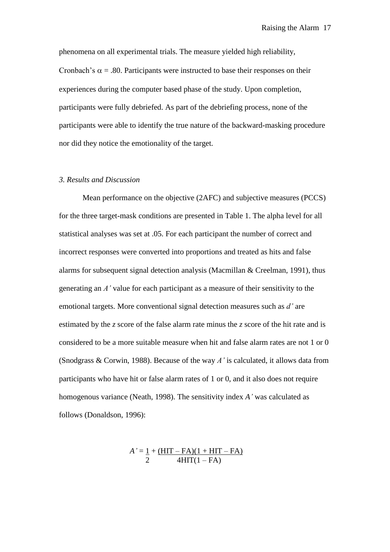phenomena on all experimental trials. The measure yielded high reliability, Cronbach's  $\alpha$  = .80. Participants were instructed to base their responses on their experiences during the computer based phase of the study. Upon completion, participants were fully debriefed. As part of the debriefing process, none of the participants were able to identify the true nature of the backward-masking procedure nor did they notice the emotionality of the target.

## *3. Results and Discussion*

Mean performance on the objective (2AFC) and subjective measures (PCCS) for the three target-mask conditions are presented in Table 1. The alpha level for all statistical analyses was set at .05. For each participant the number of correct and incorrect responses were converted into proportions and treated as hits and false alarms for subsequent signal detection analysis (Macmillan  $&$  Creelman, 1991), thus generating an *A'* value for each participant as a measure of their sensitivity to the emotional targets. More conventional signal detection measures such as *d'* are estimated by the *z* score of the false alarm rate minus the *z* score of the hit rate and is considered to be a more suitable measure when hit and false alarm rates are not 1 or 0 (Snodgrass & Corwin, 1988). Because of the way *A'* is calculated, it allows data from participants who have hit or false alarm rates of 1 or 0, and it also does not require homogenous variance (Neath, 1998). The sensitivity index *A'* was calculated as follows (Donaldson, 1996):

$$
A' = \frac{1 + (HIT - FA)(1 + HIT - FA)}{2}
$$
  
4HIT(1 - FA)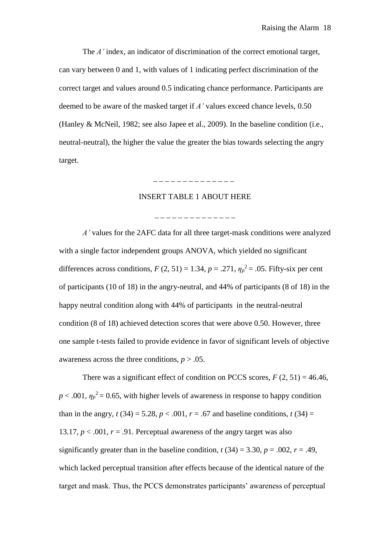The *A'* index, an indicator of discrimination of the correct emotional target, can vary between 0 and 1, with values of 1 indicating perfect discrimination of the correct target and values around 0.5 indicating chance performance. Participants are deemed to be aware of the masked target if *A'* values exceed chance levels, 0.50 (Hanley & McNeil, 1982; see also Japee et al., 2009). In the baseline condition (i.e., neutral-neutral), the higher the value the greater the bias towards selecting the angry target.

# INSERT TABLE 1 ABOUT HERE

\_ \_ \_ \_ \_ \_ \_ \_ \_ \_ \_ \_ \_ \_

\_ \_ \_ \_ \_ \_ \_ \_ \_ \_ \_ \_ \_ \_

*A'* values for the 2AFC data for all three target-mask conditions were analyzed with a single factor independent groups ANOVA, which yielded no significant differences across conditions,  $F(2, 51) = 1.34$ ,  $p = .271$ ,  $\eta_p^2 = .05$ . Fifty-six per cent of participants (10 of 18) in the angry-neutral, and 44% of participants (8 of 18) in the happy neutral condition along with 44% of participants in the neutral-neutral condition (8 of 18) achieved detection scores that were above 0.50. However, three one sample t-tests failed to provide evidence in favor of significant levels of objective awareness across the three conditions,  $p > .05$ .

There was a significant effect of condition on PCCS scores,  $F(2, 51) = 46.46$ ,  $p < .001$ ,  $\eta_p^2 = 0.65$ , with higher levels of awareness in response to happy condition than in the angry,  $t(34) = 5.28$ ,  $p < .001$ ,  $r = .67$  and baseline conditions,  $t(34) =$ 13.17,  $p < .001$ ,  $r = .91$ . Perceptual awareness of the angry target was also significantly greater than in the baseline condition,  $t(34) = 3.30$ ,  $p = .002$ ,  $r = .49$ , which lacked perceptual transition after effects because of the identical nature of the target and mask. Thus, the PCCS demonstrates participants' awareness of perceptual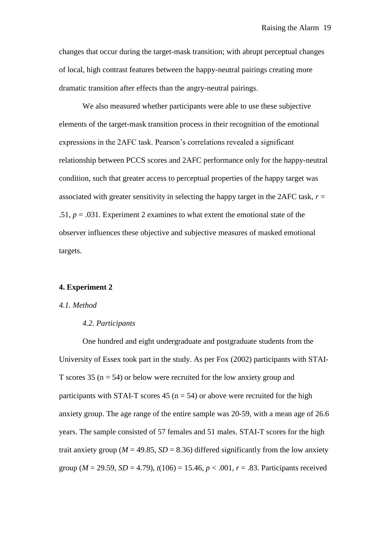changes that occur during the target-mask transition; with abrupt perceptual changes of local, high contrast features between the happy-neutral pairings creating more dramatic transition after effects than the angry-neutral pairings.

We also measured whether participants were able to use these subjective elements of the target-mask transition process in their recognition of the emotional expressions in the 2AFC task. Pearson's correlations revealed a significant relationship between PCCS scores and 2AFC performance only for the happy-neutral condition, such that greater access to perceptual properties of the happy target was associated with greater sensitivity in selecting the happy target in the 2AFC task,  $r =$ .51,  $p = .031$ . Experiment 2 examines to what extent the emotional state of the observer influences these objective and subjective measures of masked emotional targets.

#### **4. Experiment 2**

#### *4.1. Method*

#### *4.2. Participants*

One hundred and eight undergraduate and postgraduate students from the University of Essex took part in the study. As per Fox (2002) participants with STAI-T scores 35 ( $n = 54$ ) or below were recruited for the low anxiety group and participants with STAI-T scores 45 ( $n = 54$ ) or above were recruited for the high anxiety group. The age range of the entire sample was 20-59, with a mean age of 26.6 years. The sample consisted of 57 females and 51 males. STAI-T scores for the high trait anxiety group ( $M = 49.85$ ,  $SD = 8.36$ ) differed significantly from the low anxiety group ( $M = 29.59$ ,  $SD = 4.79$ ),  $t(106) = 15.46$ ,  $p < .001$ ,  $r = .83$ . Participants received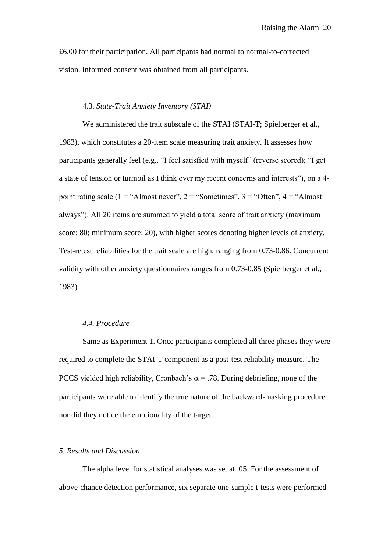£6.00 for their participation. All participants had normal to normal-to-corrected vision. Informed consent was obtained from all participants.

## 4.3. *State-Trait Anxiety Inventory (STAI)*

We administered the trait subscale of the STAI (STAI-T; Spielberger et al., 1983), which constitutes a 20-item scale measuring trait anxiety. It assesses how participants generally feel (e.g., "I feel satisfied with myself" (reverse scored); "I get a state of tension or turmoil as I think over my recent concerns and interests"), on a 4 point rating scale (1 = "Almost never", 2 = "Sometimes", 3 = "Often", 4 = "Almost always"). All 20 items are summed to yield a total score of trait anxiety (maximum score: 80; minimum score: 20), with higher scores denoting higher levels of anxiety. Test-retest reliabilities for the trait scale are high, ranging from 0.73-0.86. Concurrent validity with other anxiety questionnaires ranges from 0.73-0.85 (Spielberger et al., 1983).

## *4.4. Procedure*

Same as Experiment 1. Once participants completed all three phases they were required to complete the STAI-T component as a post-test reliability measure. The PCCS yielded high reliability, Cronbach's  $\alpha = .78$ . During debriefing, none of the participants were able to identify the true nature of the backward-masking procedure nor did they notice the emotionality of the target.

#### *5. Results and Discussion*

The alpha level for statistical analyses was set at .05. For the assessment of above-chance detection performance, six separate one-sample t-tests were performed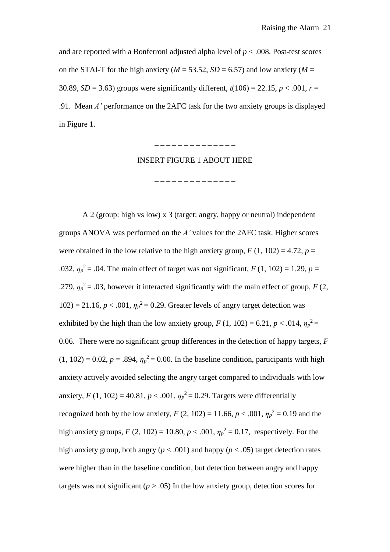and are reported with a Bonferroni adjusted alpha level of  $p < .008$ . Post-test scores on the STAI-T for the high anxiety ( $M = 53.52$ ,  $SD = 6.57$ ) and low anxiety ( $M =$ 30.89, *SD* = 3.63) groups were significantly different,  $t(106) = 22.15$ ,  $p < .001$ ,  $r =$ .91. Mean *A'* performance on the 2AFC task for the two anxiety groups is displayed in Figure 1.

\_ \_ \_ \_ \_ \_ \_ \_ \_ \_ \_ \_ \_ \_

#### INSERT FIGURE 1 ABOUT HERE

. \_ \_ \_ \_ \_ \_ \_ \_ \_ \_ \_ \_ \_ \_

A 2 (group: high vs low) x 3 (target: angry, happy or neutral) independent groups ANOVA was performed on the *A'* values for the 2AFC task. Higher scores were obtained in the low relative to the high anxiety group,  $F(1, 102) = 4.72$ ,  $p =$ .032,  $\eta_p^2 = 0.04$ . The main effect of target was not significant, *F* (1, 102) = 1.29, *p* = .279,  $\eta_p^2 = 0.03$ , however it interacted significantly with the main effect of group, *F* (2, 102) = 21.16,  $p < .001$ ,  $\eta_p^2 = 0.29$ . Greater levels of angry target detection was exhibited by the high than the low anxiety group,  $F(1, 102) = 6.21$ ,  $p < .014$ ,  $\eta_p^2 =$ 0.06. There were no significant group differences in the detection of happy targets, *F*  $(1, 102) = 0.02$ ,  $p = .894$ ,  $\eta_p^2 = 0.00$ . In the baseline condition, participants with high anxiety actively avoided selecting the angry target compared to individuals with low anxiety, *F* (1, 102) = 40.81,  $p < .001$ ,  $\eta_p^2 = 0.29$ . Targets were differentially recognized both by the low anxiety,  $F(2, 102) = 11.66$ ,  $p < .001$ ,  $\eta_p^2 = 0.19$  and the high anxiety groups,  $F(2, 102) = 10.80, p < .001, \eta_p^2 = 0.17$ , respectively. For the high anxiety group, both angry ( $p < .001$ ) and happy ( $p < .05$ ) target detection rates were higher than in the baseline condition, but detection between angry and happy targets was not significant  $(p > .05)$  In the low anxiety group, detection scores for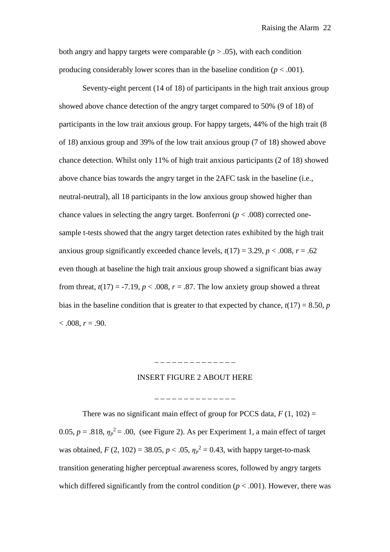both angry and happy targets were comparable  $(p > .05)$ , with each condition producing considerably lower scores than in the baseline condition ( $p < .001$ ).

Seventy-eight percent (14 of 18) of participants in the high trait anxious group showed above chance detection of the angry target compared to 50% (9 of 18) of participants in the low trait anxious group. For happy targets, 44% of the high trait (8 of 18) anxious group and 39% of the low trait anxious group (7 of 18) showed above chance detection. Whilst only 11% of high trait anxious participants (2 of 18) showed above chance bias towards the angry target in the 2AFC task in the baseline (i.e., neutral-neutral), all 18 participants in the low anxious group showed higher than chance values in selecting the angry target. Bonferroni  $(p < .008)$  corrected onesample t-tests showed that the angry target detection rates exhibited by the high trait anxious group significantly exceeded chance levels,  $t(17) = 3.29$ ,  $p < .008$ ,  $r = .62$ even though at baseline the high trait anxious group showed a significant bias away from threat,  $t(17) = -7.19$ ,  $p < .008$ ,  $r = .87$ . The low anxiety group showed a threat bias in the baseline condition that is greater to that expected by chance,  $t(17) = 8.50$ , *p*  $< .008, r = .90.$ 

### INSERT FIGURE 2 ABOUT HERE

\_ \_ \_ \_ \_ \_ \_ \_ \_ \_ \_ \_ \_ \_

\_ \_ \_ \_ \_ \_ \_ \_ \_ \_ \_ \_ \_ \_ \_

There was no significant main effect of group for PCCS data,  $F(1, 102) =$ 0.05,  $p = .818$ ,  $\eta_p^2 = .00$ , (see Figure 2). As per Experiment 1, a main effect of target was obtained,  $F(2, 102) = 38.05, p < .05, \eta_p^2 = 0.43$ , with happy target-to-mask transition generating higher perceptual awareness scores, followed by angry targets which differed significantly from the control condition  $(p < .001)$ . However, there was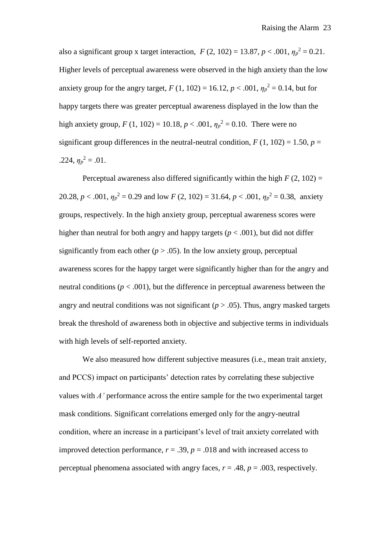also a significant group x target interaction,  $F(2, 102) = 13.87, p < .001, \eta_p^2 = 0.21$ . Higher levels of perceptual awareness were observed in the high anxiety than the low anxiety group for the angry target,  $F(1, 102) = 16.12, p < .001, \eta_p^2 = 0.14$ , but for happy targets there was greater perceptual awareness displayed in the low than the high anxiety group,  $F(1, 102) = 10.18$ ,  $p < .001$ ,  $\eta_p^2 = 0.10$ . There were no significant group differences in the neutral-neutral condition,  $F(1, 102) = 1.50$ ,  $p =$ .224,  $\eta_p^2 = .01$ .

Perceptual awareness also differed significantly within the high  $F(2, 102) =$ 20.28,  $p < .001$ ,  $\eta_p^2 = 0.29$  and low  $F(2, 102) = 31.64$ ,  $p < .001$ ,  $\eta_p^2 = 0.38$ , anxiety groups, respectively. In the high anxiety group, perceptual awareness scores were higher than neutral for both angry and happy targets ( $p < .001$ ), but did not differ significantly from each other  $(p > .05)$ . In the low anxiety group, perceptual awareness scores for the happy target were significantly higher than for the angry and neutral conditions ( $p < .001$ ), but the difference in perceptual awareness between the angry and neutral conditions was not significant  $(p > .05)$ . Thus, angry masked targets break the threshold of awareness both in objective and subjective terms in individuals with high levels of self-reported anxiety.

We also measured how different subjective measures (i.e., mean trait anxiety, and PCCS) impact on participants' detection rates by correlating these subjective values with *A'* performance across the entire sample for the two experimental target mask conditions. Significant correlations emerged only for the angry-neutral condition, where an increase in a participant's level of trait anxiety correlated with improved detection performance,  $r = .39$ ,  $p = .018$  and with increased access to perceptual phenomena associated with angry faces,  $r = .48$ ,  $p = .003$ , respectively.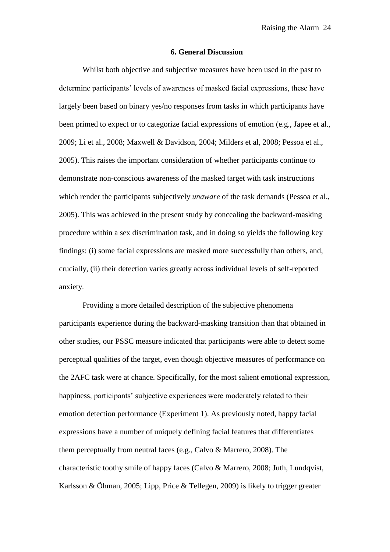#### **6. General Discussion**

Whilst both objective and subjective measures have been used in the past to determine participants' levels of awareness of masked facial expressions, these have largely been based on binary yes/no responses from tasks in which participants have been primed to expect or to categorize facial expressions of emotion (e.g., Japee et al., 2009; Li et al., 2008; Maxwell & Davidson, 2004; Milders et al, 2008; Pessoa et al., 2005). This raises the important consideration of whether participants continue to demonstrate non-conscious awareness of the masked target with task instructions which render the participants subjectively *unaware* of the task demands (Pessoa et al., 2005). This was achieved in the present study by concealing the backward-masking procedure within a sex discrimination task, and in doing so yields the following key findings: (i) some facial expressions are masked more successfully than others, and, crucially, (ii) their detection varies greatly across individual levels of self-reported anxiety.

Providing a more detailed description of the subjective phenomena participants experience during the backward-masking transition than that obtained in other studies, our PSSC measure indicated that participants were able to detect some perceptual qualities of the target, even though objective measures of performance on the 2AFC task were at chance. Specifically, for the most salient emotional expression, happiness, participants' subjective experiences were moderately related to their emotion detection performance (Experiment 1). As previously noted, happy facial expressions have a number of uniquely defining facial features that differentiates them perceptually from neutral faces (e.g., Calvo & Marrero, 2008). The characteristic toothy smile of happy faces (Calvo & Marrero, 2008; Juth, Lundqvist, Karlsson & Öhman, 2005; Lipp, Price & Tellegen, 2009) is likely to trigger greater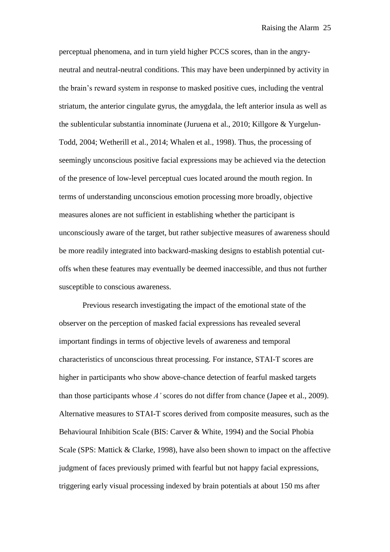perceptual phenomena, and in turn yield higher PCCS scores, than in the angryneutral and neutral-neutral conditions. This may have been underpinned by activity in the brain's reward system in response to masked positive cues, including the ventral striatum, the anterior cingulate gyrus, the amygdala, the left anterior insula as well as the sublenticular substantia innominate (Juruena et al., 2010; Killgore & Yurgelun-Todd, 2004; Wetherill et al., 2014; Whalen et al., 1998). Thus, the processing of seemingly unconscious positive facial expressions may be achieved via the detection of the presence of low-level perceptual cues located around the mouth region. In terms of understanding unconscious emotion processing more broadly, objective measures alones are not sufficient in establishing whether the participant is unconsciously aware of the target, but rather subjective measures of awareness should be more readily integrated into backward-masking designs to establish potential cutoffs when these features may eventually be deemed inaccessible, and thus not further susceptible to conscious awareness.

Previous research investigating the impact of the emotional state of the observer on the perception of masked facial expressions has revealed several important findings in terms of objective levels of awareness and temporal characteristics of unconscious threat processing. For instance, STAI-T scores are higher in participants who show above-chance detection of fearful masked targets than those participants whose *A'* scores do not differ from chance (Japee et al., 2009). Alternative measures to STAI-T scores derived from composite measures, such as the Behavioural Inhibition Scale (BIS: Carver & White, 1994) and the Social Phobia Scale (SPS: Mattick & Clarke, 1998), have also been shown to impact on the affective judgment of faces previously primed with fearful but not happy facial expressions, triggering early visual processing indexed by brain potentials at about 150 ms after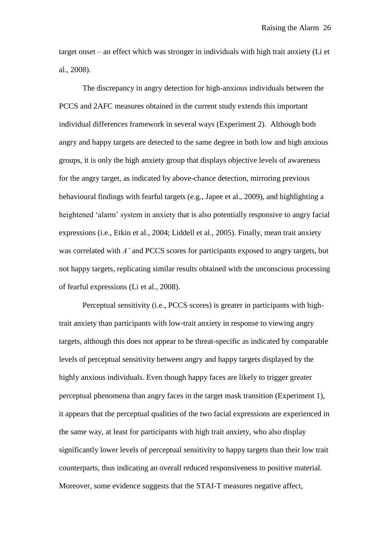target onset – an effect which was stronger in individuals with high trait anxiety (Li et al., 2008).

The discrepancy in angry detection for high-anxious individuals between the PCCS and 2AFC measures obtained in the current study extends this important individual differences framework in several ways (Experiment 2). Although both angry and happy targets are detected to the same degree in both low and high anxious groups, it is only the high anxiety group that displays objective levels of awareness for the angry target, as indicated by above-chance detection, mirroring previous behavioural findings with fearful targets (e.g., Japee et al., 2009), and highlighting a heightened 'alarm' system in anxiety that is also potentially responsive to angry facial expressions (i.e., Etkin et al., 2004; Liddell et al., 2005). Finally, mean trait anxiety was correlated with *A'* and PCCS scores for participants exposed to angry targets, but not happy targets, replicating similar results obtained with the unconscious processing of fearful expressions (Li et al., 2008).

Perceptual sensitivity (i.e., PCCS scores) is greater in participants with hightrait anxiety than participants with low-trait anxiety in response to viewing angry targets, although this does not appear to be threat-specific as indicated by comparable levels of perceptual sensitivity between angry and happy targets displayed by the highly anxious individuals. Even though happy faces are likely to trigger greater perceptual phenomena than angry faces in the target mask transition (Experiment 1), it appears that the perceptual qualities of the two facial expressions are experienced in the same way, at least for participants with high trait anxiety, who also display significantly lower levels of perceptual sensitivity to happy targets than their low trait counterparts, thus indicating an overall reduced responsiveness to positive material. Moreover, some evidence suggests that the STAI-T measures negative affect,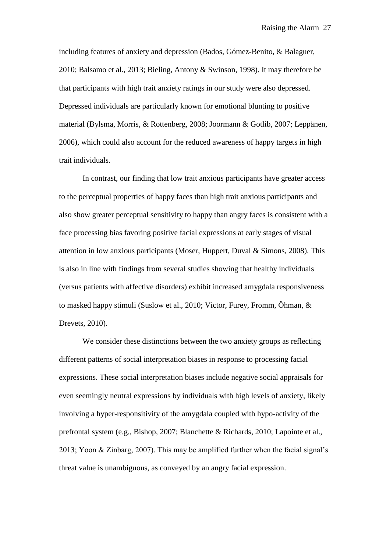including features of anxiety and depression (Bados, Gómez-Benito, & Balaguer, 2010; Balsamo et al., 2013; Bieling, Antony & Swinson, 1998). It may therefore be that participants with high trait anxiety ratings in our study were also depressed. Depressed individuals are particularly known for emotional blunting to positive material (Bylsma, Morris, & Rottenberg, 2008; Joormann & Gotlib, 2007; Leppänen, 2006), which could also account for the reduced awareness of happy targets in high trait individuals.

In contrast, our finding that low trait anxious participants have greater access to the perceptual properties of happy faces than high trait anxious participants and also show greater perceptual sensitivity to happy than angry faces is consistent with a face processing bias favoring positive facial expressions at early stages of visual attention in low anxious participants (Moser, Huppert, Duval & Simons, 2008). This is also in line with findings from several studies showing that healthy individuals (versus patients with affective disorders) exhibit increased amygdala responsiveness to masked happy stimuli (Suslow et al., 2010; Victor, Furey, Fromm, Öhman, & Drevets, 2010).

We consider these distinctions between the two anxiety groups as reflecting different patterns of social interpretation biases in response to processing facial expressions. These social interpretation biases include negative social appraisals for even seemingly neutral expressions by individuals with high levels of anxiety, likely involving a hyper-responsitivity of the amygdala coupled with hypo-activity of the prefrontal system (e.g., Bishop, 2007; Blanchette & Richards, 2010; Lapointe et al., 2013; Yoon & Zinbarg, 2007). This may be amplified further when the facial signal's threat value is unambiguous, as conveyed by an angry facial expression.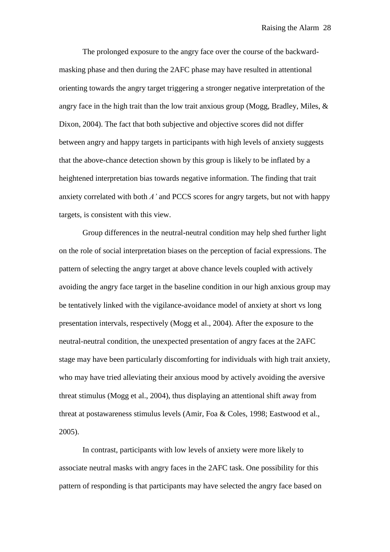The prolonged exposure to the angry face over the course of the backwardmasking phase and then during the 2AFC phase may have resulted in attentional orienting towards the angry target triggering a stronger negative interpretation of the angry face in the high trait than the low trait anxious group (Mogg, Bradley, Miles, & Dixon, 2004). The fact that both subjective and objective scores did not differ between angry and happy targets in participants with high levels of anxiety suggests that the above-chance detection shown by this group is likely to be inflated by a heightened interpretation bias towards negative information. The finding that trait anxiety correlated with both *A'* and PCCS scores for angry targets, but not with happy targets, is consistent with this view.

Group differences in the neutral-neutral condition may help shed further light on the role of social interpretation biases on the perception of facial expressions. The pattern of selecting the angry target at above chance levels coupled with actively avoiding the angry face target in the baseline condition in our high anxious group may be tentatively linked with the vigilance-avoidance model of anxiety at short vs long presentation intervals, respectively (Mogg et al., 2004). After the exposure to the neutral-neutral condition, the unexpected presentation of angry faces at the 2AFC stage may have been particularly discomforting for individuals with high trait anxiety, who may have tried alleviating their anxious mood by actively avoiding the aversive threat stimulus (Mogg et al., 2004), thus displaying an attentional shift away from threat at postawareness stimulus levels (Amir, Foa & Coles, 1998; Eastwood et al., 2005).

In contrast, participants with low levels of anxiety were more likely to associate neutral masks with angry faces in the 2AFC task. One possibility for this pattern of responding is that participants may have selected the angry face based on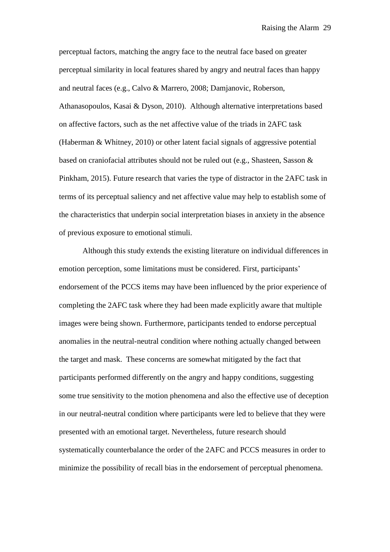perceptual factors, matching the angry face to the neutral face based on greater perceptual similarity in local features shared by angry and neutral faces than happy and neutral faces (e.g., Calvo & Marrero, 2008; Damjanovic, Roberson, Athanasopoulos, Kasai & Dyson, 2010). Although alternative interpretations based on affective factors, such as the net affective value of the triads in 2AFC task (Haberman & Whitney, 2010) or other latent facial signals of aggressive potential based on craniofacial attributes should not be ruled out (e.g., Shasteen, Sasson & Pinkham, 2015). Future research that varies the type of distractor in the 2AFC task in terms of its perceptual saliency and net affective value may help to establish some of the characteristics that underpin social interpretation biases in anxiety in the absence of previous exposure to emotional stimuli.

Although this study extends the existing literature on individual differences in emotion perception, some limitations must be considered. First, participants' endorsement of the PCCS items may have been influenced by the prior experience of completing the 2AFC task where they had been made explicitly aware that multiple images were being shown. Furthermore, participants tended to endorse perceptual anomalies in the neutral-neutral condition where nothing actually changed between the target and mask. These concerns are somewhat mitigated by the fact that participants performed differently on the angry and happy conditions, suggesting some true sensitivity to the motion phenomena and also the effective use of deception in our neutral-neutral condition where participants were led to believe that they were presented with an emotional target. Nevertheless, future research should systematically counterbalance the order of the 2AFC and PCCS measures in order to minimize the possibility of recall bias in the endorsement of perceptual phenomena.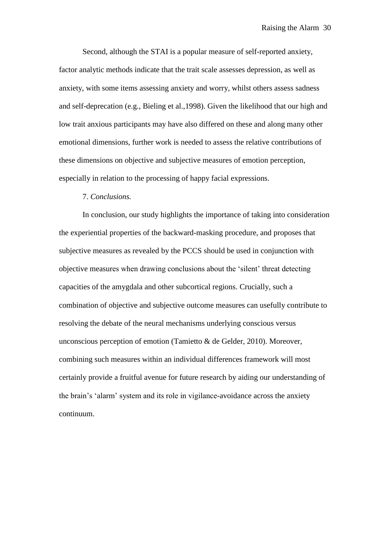Second, although the STAI is a popular measure of self-reported anxiety, factor analytic methods indicate that the trait scale assesses depression, as well as anxiety, with some items assessing anxiety and worry, whilst others assess sadness and self-deprecation (e.g., Bieling et al.,1998). Given the likelihood that our high and low trait anxious participants may have also differed on these and along many other emotional dimensions, further work is needed to assess the relative contributions of these dimensions on objective and subjective measures of emotion perception, especially in relation to the processing of happy facial expressions.

## 7. *Conclusions.*

In conclusion, our study highlights the importance of taking into consideration the experiential properties of the backward-masking procedure, and proposes that subjective measures as revealed by the PCCS should be used in conjunction with objective measures when drawing conclusions about the 'silent' threat detecting capacities of the amygdala and other subcortical regions. Crucially, such a combination of objective and subjective outcome measures can usefully contribute to resolving the debate of the neural mechanisms underlying conscious versus unconscious perception of emotion (Tamietto & de Gelder, 2010). Moreover, combining such measures within an individual differences framework will most certainly provide a fruitful avenue for future research by aiding our understanding of the brain's 'alarm' system and its role in vigilance-avoidance across the anxiety continuum.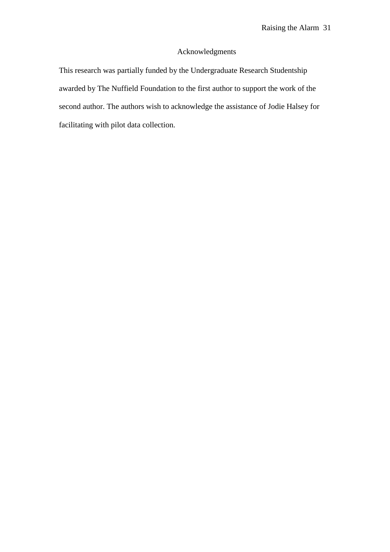# Acknowledgments

This research was partially funded by the Undergraduate Research Studentship awarded by The Nuffield Foundation to the first author to support the work of the second author. The authors wish to acknowledge the assistance of Jodie Halsey for facilitating with pilot data collection.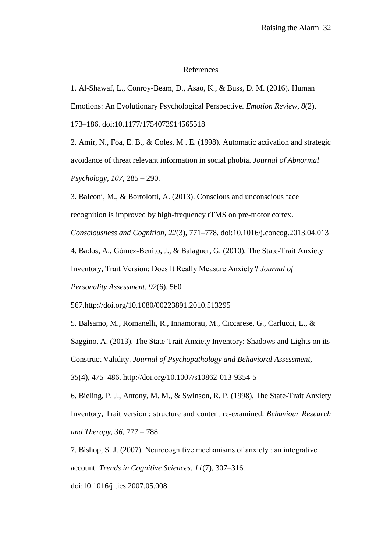#### References

1. Al-Shawaf, L., Conroy-Beam, D., Asao, K., & Buss, D. M. (2016). Human Emotions: An Evolutionary Psychological Perspective. *Emotion Review*, *8*(2),

173–186. doi:10.1177/1754073914565518

2. Amir, N., Foa, E. B., & Coles, M . E. (1998). Automatic activation and strategic avoidance of threat relevant information in social phobia. *Journal of Abnormal Psychology, 107,* 285 – 290.

3. Balconi, M., & Bortolotti, A. (2013). Conscious and unconscious face recognition is improved by high-frequency rTMS on pre-motor cortex.

*Consciousness and Cognition*, *22*(3), 771–778. doi:10.1016/j.concog.2013.04.013

4. Bados, A., Gómez-Benito, J., & Balaguer, G. (2010). The State-Trait Anxiety

Inventory, Trait Version: Does It Really Measure Anxiety ? *Journal of* 

*Personality Assessment, 92*(6), 560

567.http://doi.org/10.1080/00223891.2010.513295

5. Balsamo, M., Romanelli, R., Innamorati, M., Ciccarese, G., Carlucci, L., &

Saggino, A. (2013). The State-Trait Anxiety Inventory: Shadows and Lights on its Construct Validity. *Journal of Psychopathology and Behavioral Assessment,* 

*35*(4), 475–486. http://doi.org/10.1007/s10862-013-9354-5

6. Bieling, P. J., Antony, M. M., & Swinson, R. P. (1998). The State-Trait Anxiety Inventory, Trait version : structure and content re-examined. *Behaviour Research and Therapy, 36,* 777 – 788.

7. Bishop, S. J. (2007). Neurocognitive mechanisms of anxiety : an integrative account. *Trends in Cognitive Sciences*, *11*(7), 307–316.

doi:10.1016/j.tics.2007.05.008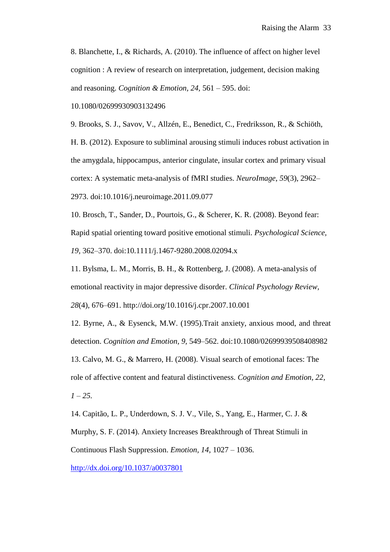8. Blanchette, I., & Richards, A. (2010). The influence of affect on higher level cognition : A review of research on interpretation, judgement, decision making and reasoning. *Cognition & Emotion, 24,* 561 – 595. doi:

10.1080/02699930903132496

9. Brooks, S. J., Savov, V., Allzén, E., Benedict, C., Fredriksson, R., & Schiöth, H. B. (2012). Exposure to subliminal arousing stimuli induces robust activation in the amygdala, hippocampus, anterior cingulate, insular cortex and primary visual cortex: A systematic meta-analysis of fMRI studies. *NeuroImage*, *59*(3), 2962– 2973. doi:10.1016/j.neuroimage.2011.09.077

10. Brosch, T., Sander, D., Pourtois, G., & Scherer, K. R. (2008). Beyond fear: Rapid spatial orienting toward positive emotional stimuli. *Psychological Science, 19,* 362–370. doi:10.1111/j.1467-9280.2008.02094.x

11. Bylsma, L. M., Morris, B. H., & Rottenberg, J. (2008). A meta-analysis of emotional reactivity in major depressive disorder. *Clinical Psychology Review, 28*(4), 676–691. http://doi.org/10.1016/j.cpr.2007.10.001

12. Byrne, A., & Eysenck, M.W. (1995).Trait anxiety, anxious mood, and threat detection. *Cognition and Emotion, 9,* 549–562. doi:10.1080/02699939508408982 13. Calvo, M. G., & Marrero, H. (2008). Visual search of emotional faces: The role of affective content and featural distinctiveness. *Cognition and Emotion, 22, 1 – 25.*

14. Capitão, L. P., Underdown, S. J. V., Vile, S., Yang, E., Harmer, C. J. & Murphy, S. F. (2014). Anxiety Increases Breakthrough of Threat Stimuli in Continuous Flash Suppression. *Emotion, 14,* 1027 – 1036.

<http://dx.doi.org/10.1037/a0037801>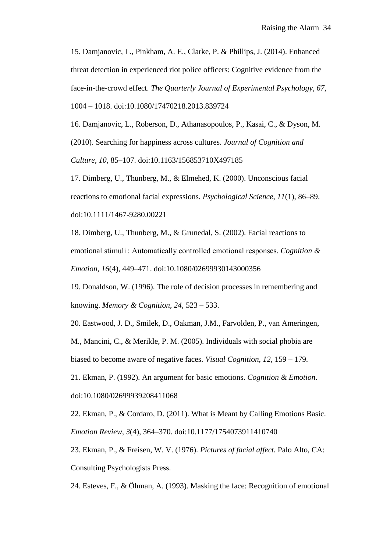15. Damjanovic, L., Pinkham, A. E., Clarke, P. & Phillips, J. (2014). Enhanced threat detection in experienced riot police officers: Cognitive evidence from the face-in-the-crowd effect. *The Quarterly Journal of Experimental Psychology, 67,*  1004 – 1018. doi:10.1080/17470218.2013.839724

16. Damjanovic, L., Roberson, D., Athanasopoulos, P., Kasai, C., & Dyson, M. (2010). Searching for happiness across cultures. *Journal of Cognition and Culture, 10,* 85–107. doi:10.1163/156853710X497185

17. Dimberg, U., Thunberg, M., & Elmehed, K. (2000). Unconscious facial reactions to emotional facial expressions. *Psychological Science*, *11*(1), 86–89. doi:10.1111/1467-9280.00221

18. Dimberg, U., Thunberg, M., & Grunedal, S. (2002). Facial reactions to emotional stimuli : Automatically controlled emotional responses. *Cognition & Emotion*, *16*(4), 449–471. doi:10.1080/02699930143000356

19. Donaldson, W. (1996). The role of decision processes in remembering and knowing. *Memory & Cognition, 24,* 523 – 533.

20. Eastwood, J. D., Smilek, D., Oakman, J.M., Farvolden, P., van Ameringen,

M., Mancini, C., & Merikle, P. M. (2005). Individuals with social phobia are biased to become aware of negative faces. *Visual Cognition, 12,* 159 – 179.

21. Ekman, P. (1992). An argument for basic emotions. *Cognition & Emotion*. doi:10.1080/02699939208411068

22. Ekman, P., & Cordaro, D. (2011). What is Meant by Calling Emotions Basic. *Emotion Review*, *3*(4), 364–370. doi:10.1177/1754073911410740

23. Ekman, P., & Freisen, W. V. (1976). *Pictures of facial affect.* Palo Alto, CA: Consulting Psychologists Press.

24. Esteves, F., & Öhman, A. (1993). Masking the face: Recognition of emotional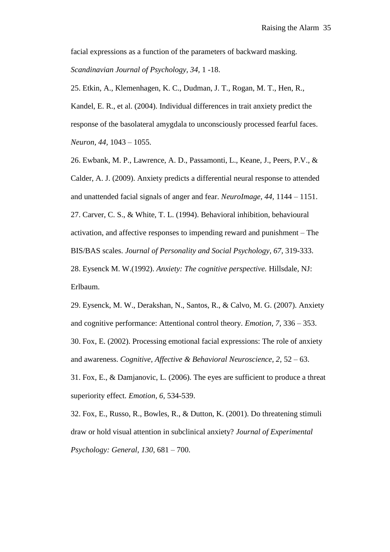facial expressions as a function of the parameters of backward masking. *Scandinavian Journal of Psychology, 34,* 1 -18.

25. Etkin, A., Klemenhagen, K. C., Dudman, J. T., Rogan, M. T., Hen, R., Kandel, E. R., et al. (2004). Individual differences in trait anxiety predict the response of the basolateral amygdala to unconsciously processed fearful faces.

*Neuron, 44,* 1043 – 1055.

26. Ewbank, M. P., Lawrence, A. D., Passamonti, L., Keane, J., Peers, P.V., & Calder, A. J. (2009). Anxiety predicts a differential neural response to attended and unattended facial signals of anger and fear. *NeuroImage, 44,* 1144 – 1151. 27. Carver, C. S., & White, T. L. (1994). Behavioral inhibition, behavioural activation, and affective responses to impending reward and punishment – The BIS/BAS scales. *Journal of Personality and Social Psychology, 67,* 319-333. 28. Eysenck M. W.(1992). *Anxiety: The cognitive perspective.* Hillsdale, NJ: Erlbaum.

29. Eysenck, M. W., Derakshan, N., Santos, R., & Calvo, M. G. (2007). Anxiety and cognitive performance: Attentional control theory. *Emotion, 7,* 336 – 353. 30. Fox, E. (2002). Processing emotional facial expressions: The role of anxiety and awareness. *Cognitive, Affective & Behavioral Neuroscience, 2,* 52 – 63.

31. Fox, E., & Damjanovic, L. (2006). The eyes are sufficient to produce a threat superiority effect. *Emotion, 6,* 534-539.

32. Fox, E., Russo, R., Bowles, R., & Dutton, K. (2001). Do threatening stimuli draw or hold visual attention in subclinical anxiety? *Journal of Experimental Psychology: General, 130,* 681 – 700.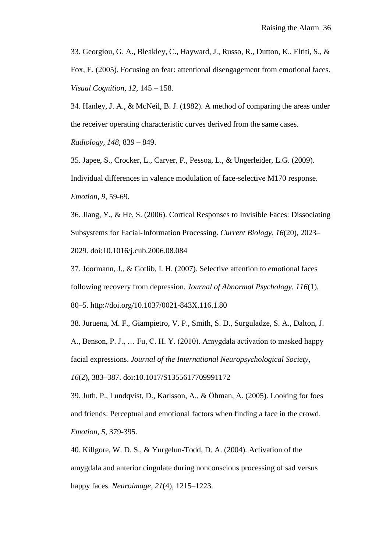33. Georgiou, G. A., Bleakley, C., Hayward, J., Russo, R., Dutton, K., Eltiti, S., & Fox, E. (2005). Focusing on fear: attentional disengagement from emotional faces. *Visual Cognition, 12,* 145 – 158.

34. Hanley, J. A., & McNeil, B. J. (1982). A method of comparing the areas under the receiver operating characteristic curves derived from the same cases.

*Radiology, 148,* 839 – 849.

35. Japee, S., Crocker, L., Carver, F., Pessoa, L., & Ungerleider, L.G. (2009). Individual differences in valence modulation of face-selective M170 response. *Emotion, 9,* 59-69.

36. Jiang, Y., & He, S. (2006). Cortical Responses to Invisible Faces: Dissociating Subsystems for Facial-Information Processing. *Current Biology*, *16*(20), 2023– 2029. doi:10.1016/j.cub.2006.08.084

37. Joormann, J., & Gotlib, I. H. (2007). Selective attention to emotional faces following recovery from depression. *Journal of Abnormal Psychology, 116*(1), 80–5. http://doi.org/10.1037/0021-843X.116.1.80

38. Juruena, M. F., Giampietro, V. P., Smith, S. D., Surguladze, S. A., Dalton, J.

A., Benson, P. J., … Fu, C. H. Y. (2010). Amygdala activation to masked happy facial expressions. *Journal of the International Neuropsychological Society*,

*16*(2), 383–387. doi:10.1017/S1355617709991172

39. Juth, P., Lundqvist, D., Karlsson, A., & Öhman, A. (2005). Looking for foes and friends: Perceptual and emotional factors when finding a face in the crowd. *Emotion, 5,* 379-395.

40. Killgore, W. D. S., & Yurgelun-Todd, D. A. (2004). Activation of the amygdala and anterior cingulate during nonconscious processing of sad versus happy faces. *Neuroimage*, *21*(4), 1215–1223.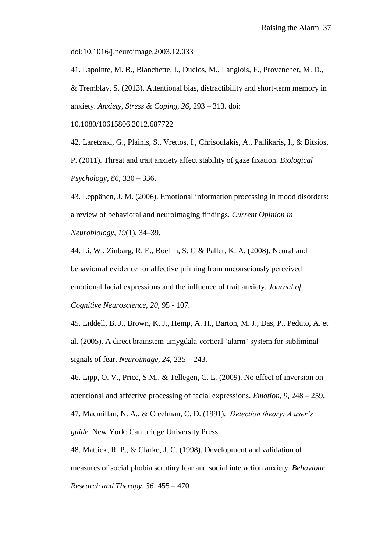doi:10.1016/j.neuroimage.2003.12.033

41. Lapointe, M. B., Blanchette, I., Duclos, M., Langlois, F., Provencher, M. D., & Tremblay, S. (2013). Attentional bias, distractibility and short-term memory in anxiety. *Anxiety, Stress & Coping, 26,* 293 – 313. doi:

10.1080/10615806.2012.687722

42. Laretzaki, G., Plainis, S., Vrettos, I., Chrisoulakis, A., Pallikaris, I., & Bitsios, P. (2011). Threat and trait anxiety affect stability of gaze fixation. *Biological Psychology, 86,* 330 – 336.

43. Leppänen, J. M. (2006). Emotional information processing in mood disorders: a review of behavioral and neuroimaging findings. *Current Opinion in Neurobiology, 19*(1), 34–39.

44. Li, W., Zinbarg, R. E., Boehm, S. G & Paller, K. A. (2008). Neural and behavioural evidence for affective priming from unconsciously perceived emotional facial expressions and the influence of trait anxiety. *Journal of Cognitive Neuroscience, 20,* 95 - 107.

45. Liddell, B. J., Brown, K. J., Hemp, A. H., Barton, M. J., Das, P., Peduto, A. et al. (2005). A direct brainstem-amygdala-cortical 'alarm' system for subliminal signals of fear. *Neuroimage, 24,* 235 – 243.

46. Lipp, O. V., Price, S.M., & Tellegen, C. L. (2009). No effect of inversion on attentional and affective processing of facial expressions. *Emotion, 9,* 248 – 259. 47. Macmillan, N. A., & Creelman, C. D. (1991). *Detection theory: A user's guide.* New York: Cambridge University Press.

48. Mattick, R. P., & Clarke, J. C. (1998). Development and validation of measures of social phobia scrutiny fear and social interaction anxiety. *Behaviour Research and Therapy, 36,* 455 – 470.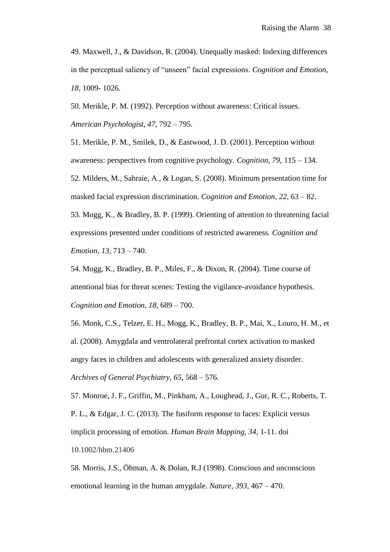49. Maxwell, J., & Davidson, R. (2004). Unequally masked: Indexing differences in the perceptual saliency of "unseen" facial expressions. *Cognition and Emotion, 18,* 1009- 1026.

50. Merikle, P. M. (1992). Perception without awareness: Critical issues. *American Psychologist, 47,* 792 – 795.

51. Merikle, P. M., Smilek, D., & Eastwood, J. D. (2001). Perception without awareness: perspectives from cognitive psychology. *Cognition, 79,* 115 – 134. 52. Milders, M., Sahraie, A., & Logan, S. (2008). Minimum presentation time for masked facial expression discrimination. *Cognition and Emotion, 22,* 63 – 82. 53. Mogg, K., & Bradley, B. P. (1999). Orienting of attention to threatening facial expressions presented under conditions of restricted awareness. *Cognition and Emotion, 13,* 713 – 740.

54. Mogg, K., Bradley, B. P., Miles, F., & Dixon, R. (2004). Time course of attentional bias for threat scenes: Testing the vigilance-avoidance hypothesis. *Cognition and Emotion, 18,* 689 – 700.

56. Monk, C.S., Telzer, E. H., Mogg, K., Bradley, B. P., Mai, X., Louro, H. M., et al. (2008). Amygdala and ventrolateral prefrontal cortex activation to masked angry faces in children and adolescents with generalized anxiety disorder. *Archives of General Psychiatry, 65,* 568 – 576.

57. Monroe, J. F., Griffin, M., Pinkham, A., Loughead, J., Gur, R. C., Roberts, T. P. L., & Edgar, J. C. (2013). The fusiform response to faces: Explicit versus implicit processing of emotion. *Human Brain Mapping, 34,* 1-11. doi 10.1002/hbm.21406

58. Morris, J.S., Öhman, A. & Dolan, R.J (1998). Conscious and unconscious emotional learning in the human amygdale. *Nature, 393,* 467 – 470.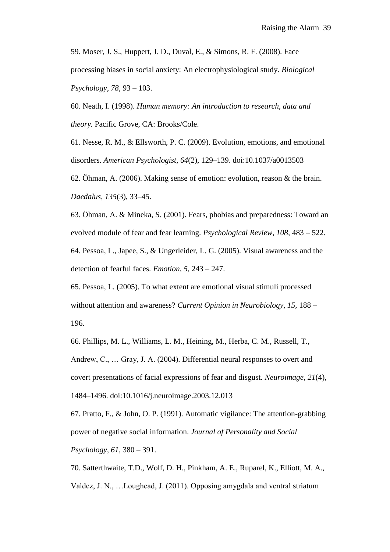59. Moser, J. S., Huppert, J. D., Duval, E., & Simons, R. F. (2008). Face processing biases in social anxiety: An electrophysiological study. *Biological Psychology, 78,* 93 – 103.

60. Neath, I. (1998). *Human memory: An introduction to research, data and theory.* Pacific Grove, CA: Brooks/Cole.

61. Nesse, R. M., & Ellsworth, P. C. (2009). Evolution, emotions, and emotional disorders. *American Psychologist*, *64*(2), 129–139. doi:10.1037/a0013503

62. Öhman, A. (2006). Making sense of emotion: evolution, reason & the brain. *Daedalus*, *135*(3), 33–45.

63. Öhman, A. & Mineka, S. (2001). Fears, phobias and preparedness: Toward an evolved module of fear and fear learning. *Psychological Review, 108,* 483 – 522. 64. Pessoa, L., Japee, S., & Ungerleider, L. G. (2005). Visual awareness and the detection of fearful faces. *Emotion, 5,* 243 – 247.

65. Pessoa, L. (2005). To what extent are emotional visual stimuli processed without attention and awareness? *Current Opinion in Neurobiology, 15,* 188 – 196.

66. Phillips, M. L., Williams, L. M., Heining, M., Herba, C. M., Russell, T., Andrew, C., … Gray, J. A. (2004). Differential neural responses to overt and covert presentations of facial expressions of fear and disgust. *Neuroimage*, *21*(4), 1484–1496. doi:10.1016/j.neuroimage.2003.12.013

67. Pratto, F., & John, O. P. (1991). Automatic vigilance: The attention-grabbing power of negative social information. *Journal of Personality and Social Psychology, 61,* 380 – 391.

70. Satterthwaite, T.D., Wolf, D. H., Pinkham, A. E., Ruparel, K., Elliott, M. A., Valdez, J. N., …Loughead, J. (2011). Opposing amygdala and ventral striatum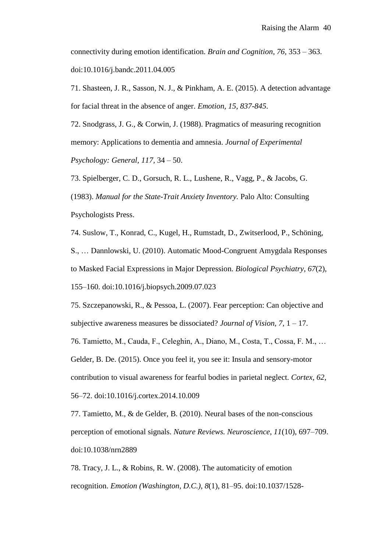connectivity during emotion identification. *Brain and Cognition, 76,* 353 – 363. doi:10.1016/j.bandc.2011.04.005

71. Shasteen, J. R., Sasson, N. J., & Pinkham, A. E. (2015). A detection advantage for facial threat in the absence of anger. *Emotion, 15, 837-845*.

72. Snodgrass, J. G., & Corwin, J. (1988). Pragmatics of measuring recognition memory: Applications to dementia and amnesia. *Journal of Experimental Psychology: General, 117,* 34 – 50.

73. Spielberger, C. D., Gorsuch, R. L., Lushene, R., Vagg, P., & Jacobs, G. (1983). *Manual for the State-Trait Anxiety Inventory.* Palo Alto: Consulting Psychologists Press.

74. Suslow, T., Konrad, C., Kugel, H., Rumstadt, D., Zwitserlood, P., Schöning,

S., … Dannlowski, U. (2010). Automatic Mood-Congruent Amygdala Responses to Masked Facial Expressions in Major Depression. *Biological Psychiatry*, *67*(2), 155–160. doi:10.1016/j.biopsych.2009.07.023

75. Szczepanowski, R., & Pessoa, L. (2007). Fear perception: Can objective and subjective awareness measures be dissociated? *Journal of Vision, 7,* 1 – 17.

76. Tamietto, M., Cauda, F., Celeghin, A., Diano, M., Costa, T., Cossa, F. M., … Gelder, B. De. (2015). Once you feel it, you see it: Insula and sensory-motor contribution to visual awareness for fearful bodies in parietal neglect. *Cortex*, *62*, 56–72. doi:10.1016/j.cortex.2014.10.009

77. Tamietto, M., & de Gelder, B. (2010). Neural bases of the non-conscious perception of emotional signals. *Nature Reviews. Neuroscience*, *11*(10), 697–709. doi:10.1038/nrn2889

78. Tracy, J. L., & Robins, R. W. (2008). The automaticity of emotion recognition. *Emotion (Washington, D.C.)*, *8*(1), 81–95. doi:10.1037/1528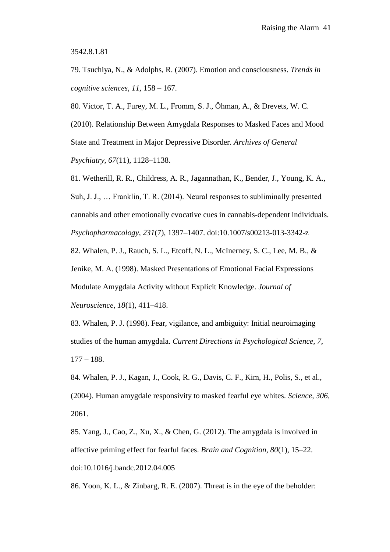3542.8.1.81

79. Tsuchiya, N., & Adolphs, R. (2007). Emotion and consciousness. *Trends in cognitive sciences, 11,* 158 – 167.

80. Victor, T. A., Furey, M. L., Fromm, S. J., Öhman, A., & Drevets, W. C.

(2010). Relationship Between Amygdala Responses to Masked Faces and Mood State and Treatment in Major Depressive Disorder. *Archives of General Psychiatry*, *67*(11), 1128–1138.

81. Wetherill, R. R., Childress, A. R., Jagannathan, K., Bender, J., Young, K. A., Suh, J. J., … Franklin, T. R. (2014). Neural responses to subliminally presented cannabis and other emotionally evocative cues in cannabis-dependent individuals. *Psychopharmacology*, *231*(7), 1397–1407. doi:10.1007/s00213-013-3342-z

82. Whalen, P. J., Rauch, S. L., Etcoff, N. L., McInerney, S. C., Lee, M. B., & Jenike, M. A. (1998). Masked Presentations of Emotional Facial Expressions Modulate Amygdala Activity without Explicit Knowledge. *Journal of Neuroscience*, *18*(1), 411–418.

83. Whalen, P. J. (1998). Fear, vigilance, and ambiguity: Initial neuroimaging studies of the human amygdala. *Current Directions in Psychological Science, 7,* 177 – 188.

84. Whalen, P. J., Kagan, J., Cook, R. G., Davis, C. F., Kim, H., Polis, S., et al., (2004). Human amygdale responsivity to masked fearful eye whites. *Science, 306,* 2061.

85. Yang, J., Cao, Z., Xu, X., & Chen, G. (2012). The amygdala is involved in affective priming effect for fearful faces. *Brain and Cognition*, *80*(1), 15–22. doi:10.1016/j.bandc.2012.04.005

86. Yoon, K. L., & Zinbarg, R. E. (2007). Threat is in the eye of the beholder: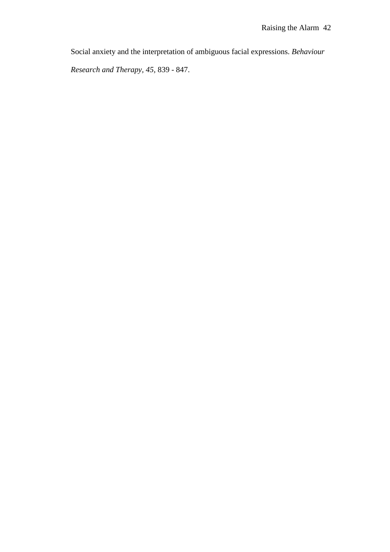Social anxiety and the interpretation of ambiguous facial expressions. *Behaviour* 

*Research and Therapy, 45,* 839 - 847.